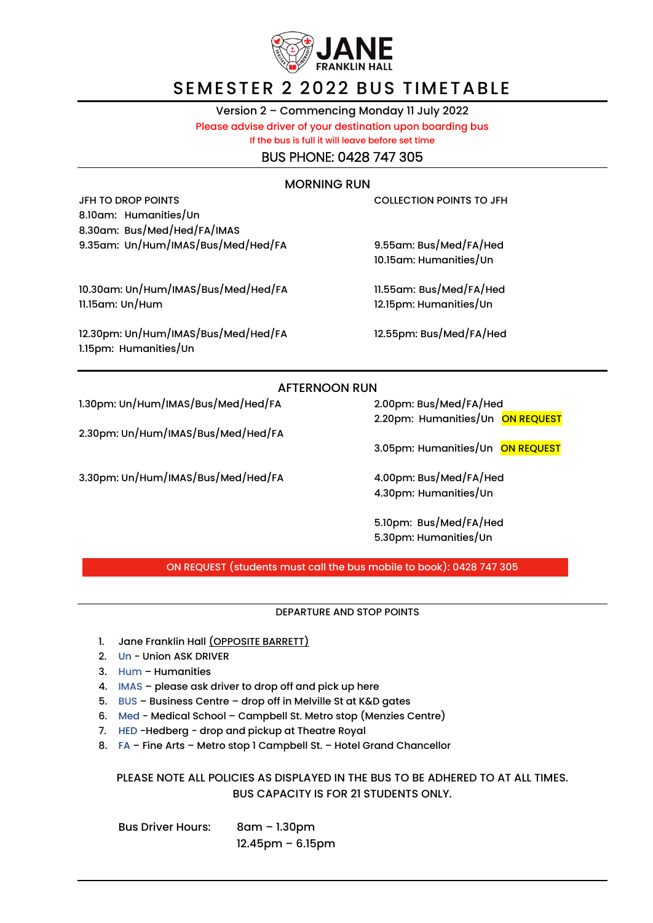

## SEMESTER 2 2022 BUS TIMETABLE

Version 2 – Commencing Monday 11 July 2022 Please advise driver of your destination upon boarding bus

If the bus is full it will leave before set time

BUS PHONE: 0428 747 305

### MORNING RUN

JFH TO DROP POINTS COLLECTION POINTS TO JFH 8.10am: Humanities/Un 8.30am: Bus/Med/Hed/FA/IMAS 9.35am: Un/Hum/IMAS/Bus/Med/Hed/FA 9.55am: Bus/Med/FA/Hed

10.30am: Un/Hum/IMAS/Bus/Med/Hed/FA 11.55am: Bus/Med/FA/Hed 11.15am: Un/Hum 12.15pm: Humanities/Un

12.30pm: Un/Hum/IMAS/Bus/Med/Hed/FA 12.55pm: Bus/Med/FA/Hed 1.15pm: Humanities/Un

10.15am: Humanities/Un

### AFTERNOON RUN

1.30pm: Un/Hum/IMAS/Bus/Med/Hed/FA 2.00pm: Bus/Med/FA/Hed

2.30pm: Un/Hum/IMAS/Bus/Med/Hed/FA

3.30pm: Un/Hum/IMAS/Bus/Med/Hed/FA 4.00pm: Bus/Med/FA/Hed

2.20pm: Humanities/Un ON REQUEST

3.05pm: Humanities/Un ON REQUEST

4.30pm: Humanities/Un

5.10pm: Bus/Med/FA/Hed 5.30pm: Humanities/Un

ON REQUEST (students must call the bus mobile to book): 0428 747 305

#### DEPARTURE AND STOP POINTS

- 1. Jane Franklin Hall (OPPOSITE BARRETT)
- 2. Un Union ASK DRIVER
- 3. Hum Humanities
- 4. IMAS please ask driver to drop off and pick up here
- 5. BUS Business Centre drop off in Melville St at K&D gates
- 6. Med Medical School Campbell St. Metro stop (Menzies Centre)
- 7. HED -Hedberg drop and pickup at Theatre Royal
- 8. FA Fine Arts Metro stop 1 Campbell St. Hotel Grand Chancellor

PLEASE NOTE ALL POLICIES AS DISPLAYED IN THE BUS TO BE ADHERED TO AT ALL TIMES. BUS CAPACITY IS FOR 21 STUDENTS ONLY.

Bus Driver Hours: 8am – 1.30pm 12.45pm – 6.15pm